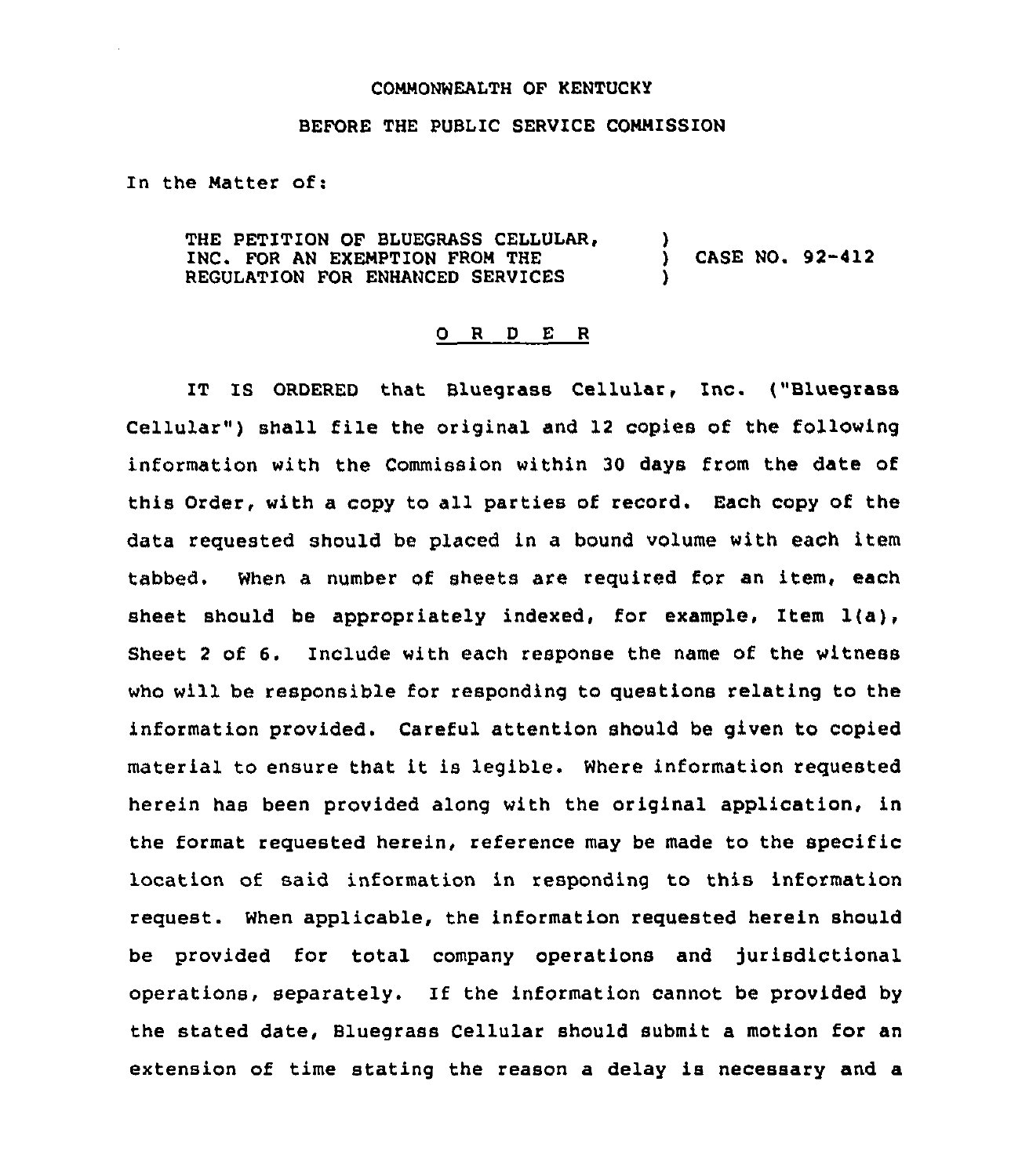## COMMONWEALTH OF KENTUCKY

## BEFORE THE PUBLIC SERVICE COMMISSION

In the Matter of:

THE PETITION OF BLUEGRASS CELLULAR,  $\overrightarrow{y}$  ) INC. FOR AN EXEMPTION FROM THE ) CASE NO. 92-412 REGULATION FOR ENHANCED SERVICES

## 0 R <sup>D</sup> E R

IT IS ORDERED that Bluegrass Cellular, Inc. ("Bluegrass Cellular") shall file the original and 12 copies of the following information with the Commission within 30 days from the date of this Order, with a copy to all parties of record. Each copy of the data requested should be placed in a bound volume with each item tabbed. When a number of sheets are required for an item, each sheet should be appropriately indexed, for example, Item 1(a), Sheet <sup>2</sup> of 6. Include with each response the name of the witness who will be responsible for responding to questions relating to the information provided. Careful attention should be given to copied material to ensure that it is legible. Where information requested herein has been provided along with the original application, in the format requested herein, reference may be made to the specific location of said information in responding to this information request. When applicable, the information requested herein should be provided for total company operations and jurisdictional operations, separately. If the information cannot be provided by the stated date, Bluegrass Cellular should submit a motion for an extension of time stating the reason a delay is necessary and a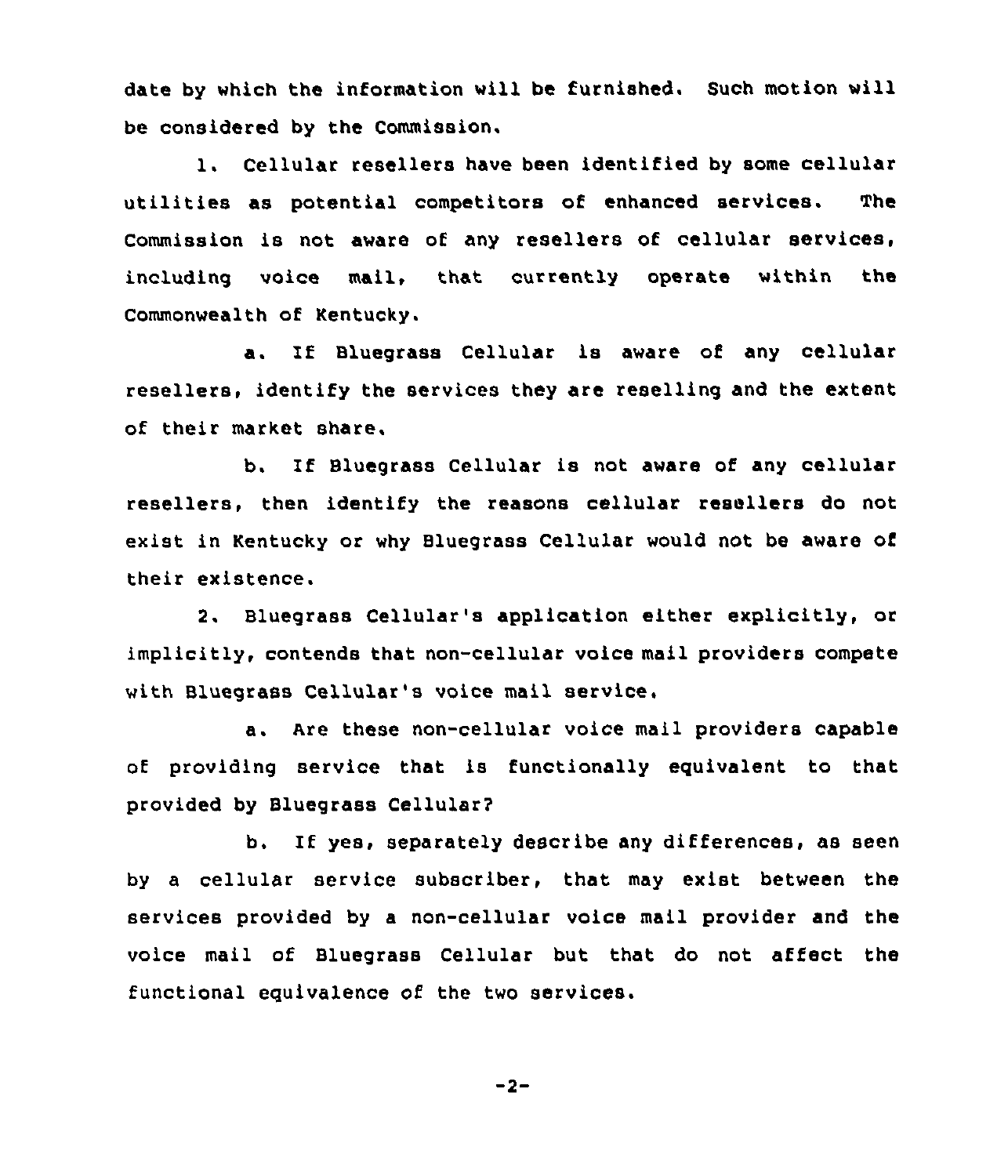date by which the information will be furnished. Such motion will be considered by the Commission.

1. Cellular resellers have been identified by some cellular utilities as potential competitors of enhanced services. The Commission is not aware of any resellers of cellular services, including voice mail, that currently operate within the Commonwealth of Kentucky.

a. If Bluegrass Cellular is aware of any cellular resellers, identify the services they are reselling and the extent of their market share.

b. If Bluegrass Cellular is not aware of any cellular resellers, then identify the reasons cellular resellers do not exist in Kentucky or why Bluegrass Cellular would not be aware of their existence.

2. Bluegrass Cellular's application either explicitly, or implicitly, contends that non-cellular voice mail providers compete with Bluegrass Cellular's voice mail service,

a. Are these non-cellular voice mail providers capable of providing service that is functionally equivalent to that provided by Bluegrass Cellular?

b. If yes, separately describe any differences, as seen by a cellular service subscriber, that may exist between the services provided by a non-cellular voice mail provider and the voice mail of Bluegrass Cellular but that do not affect the functional equivalence of the two services.

$$
-2-
$$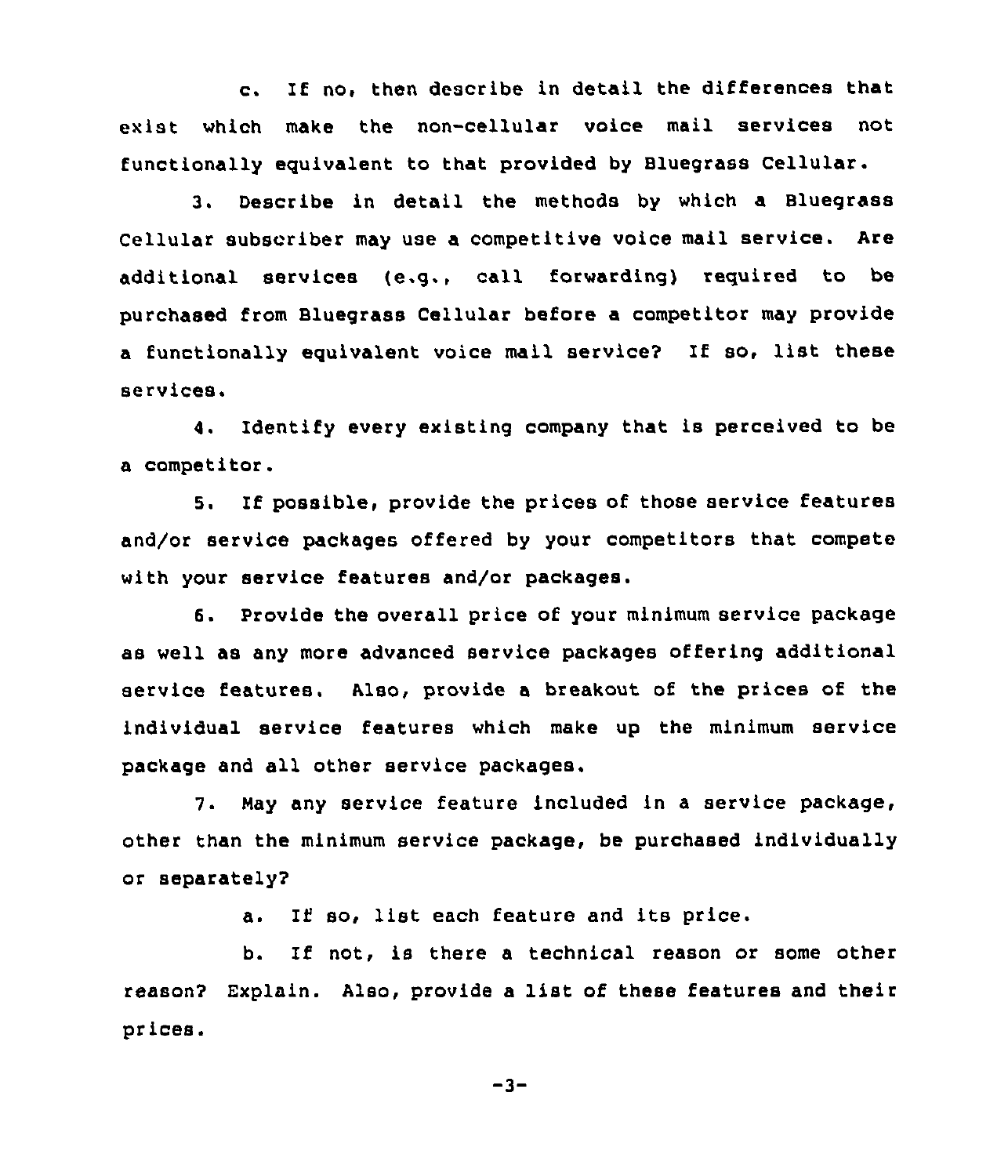c. If no, then describe in detail the differences that exist which make the non-cellular voice mail services not functionally eguivalent to that provided by Bluegrass Cellular.

3. Describe in detail the methods by which a Bluegrass Cellular subscriber may use a competitive voice mail service. Are additional services (e.g., call forwarding) reguired to be purchased from Bluegrass Cellular before a competitor may provide <sup>a</sup> functionally equivalent voice mail service? If so, list these services.

4. Identify every existing company that is perceived to be a competitor.

5. If possible, provide the prices of those service features and/or service packages offered by your competitors that compete with your service features and/or packages.

6. Provide the overall price of your minimum service package &s well as any more advanced service packages offering additional service features. Also, provide a breakout of the prices of the individual service features which make up the minimum service package and all other service packages.

7. May any service feature included in a service package, other than the minimum service package, be purchased individually or separately'?

a. If so, list each feature and its price.

b. If not, is there <sup>a</sup> technical reason or some other reason? Explain. Also, provide <sup>a</sup> list of these features and their prices.

 $-3-$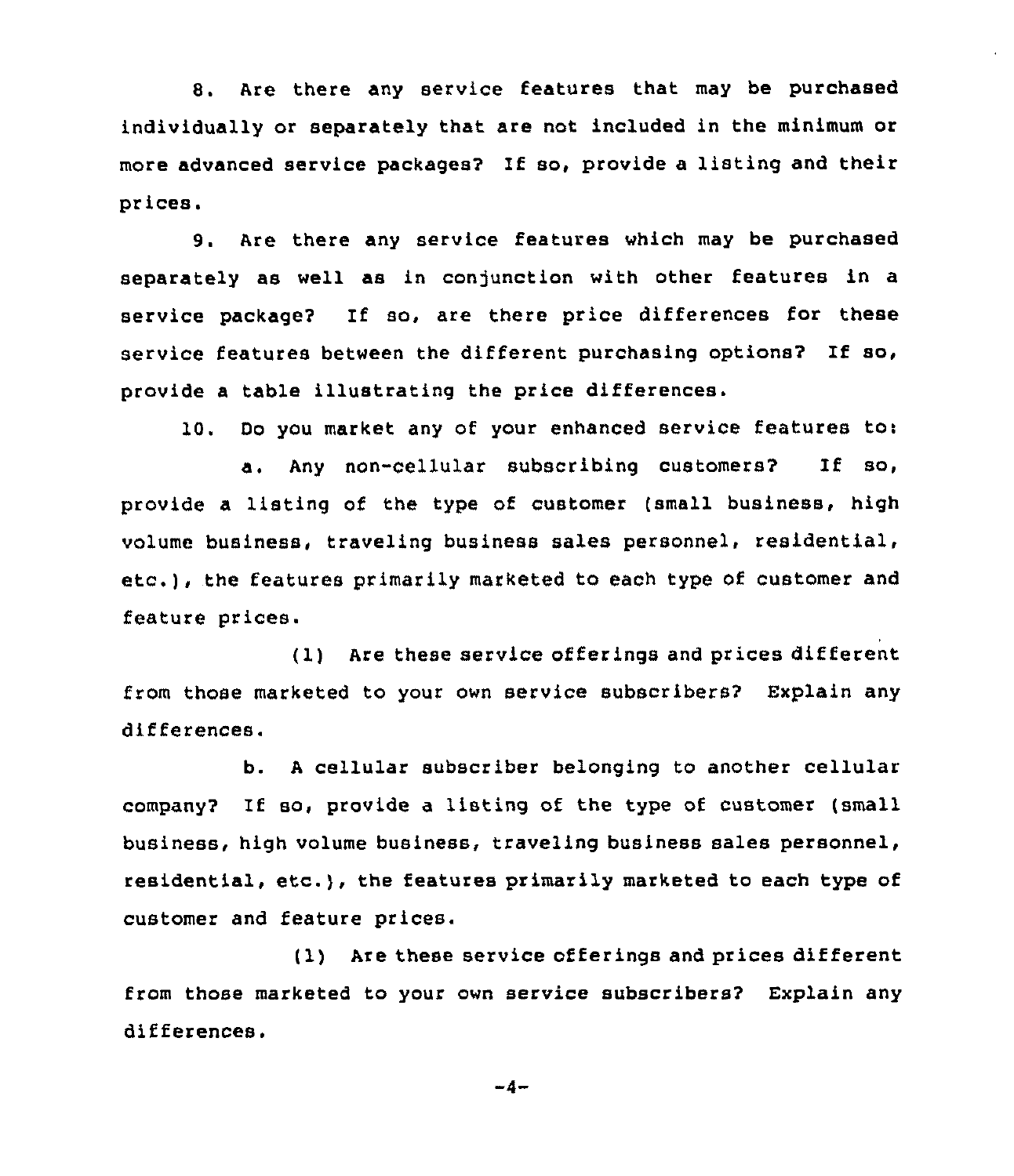8. Are there any service features that may be purchased individually or separately that are not included in the minimum or more advanced service packages? If so, provide <sup>a</sup> listing and their prices.

9. Are there any service features which may be purchased separately as well as in conjunction with other features in a service package2 If so, are there price differences for these service features between the different purchasing options? If so, provide a table illustrating the price differences.

10. Do you market any of your enhanced service features to:

a. Any non-cellular subscribing customers? If so, provide a listing of the type of customer (small business, high volume business, traveling business sales personnel, residential, etc.), the features primarily marketed to each type of customer and feature prices.

(1) Are these service offerings and prices different from those marketed to your own service subscribers? Explain any differences.

b. <sup>A</sup> cellular subscriber belonging to another cellular company2 If so, provide a listing of the type of customer (small business, high volume business, traveling business Bales personnel, residential, etc.), the features primarily marketed to each type of customer and feature prices.

(1) Are these service offerings and prices different from those marketed to your own service subscribers? Explain any differences.

 $-4-$